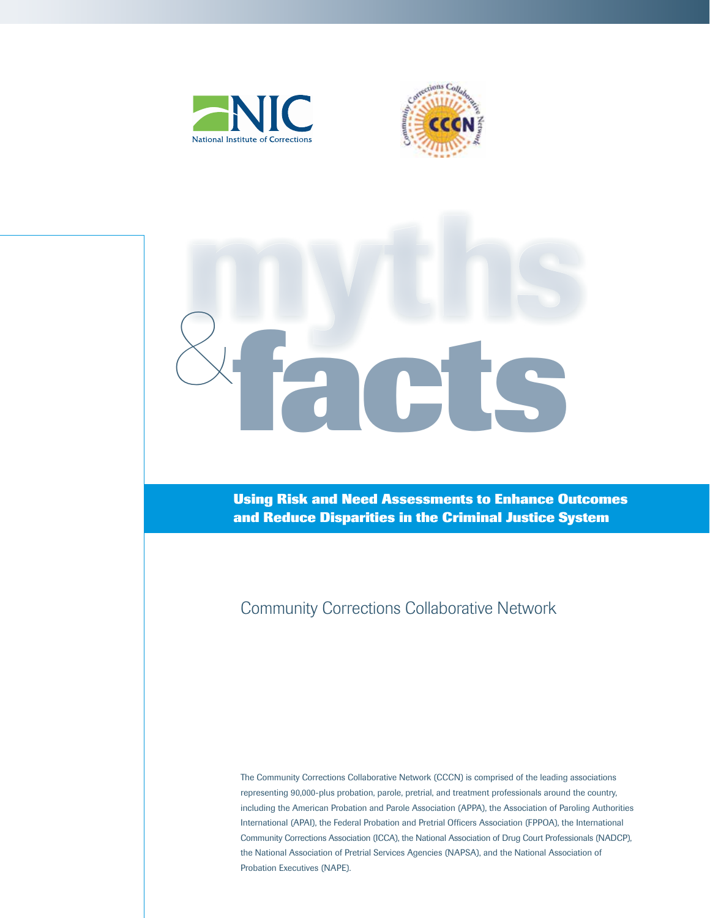





**Using Risk and Need Assessments to Enhance Outcomes and Reduce Disparities in the Criminal Justice System**

Community Corrections Collaborative Network

The Community Corrections Collaborative Network (CCCN) is comprised of the leading associations representing 90,000-plus probation, parole, pretrial, and treatment professionals around the country, including the American Probation and Parole Association (APPA), the Association of Paroling Authorities International (APAI), the Federal Probation and Pretrial Officers Association (FPPOA), the International Community Corrections Association (ICCA), the National Association of Drug Court Professionals (NADCP), the National Association of Pretrial Services Agencies (NAPSA), and the National Association of Probation Executives (NAPE).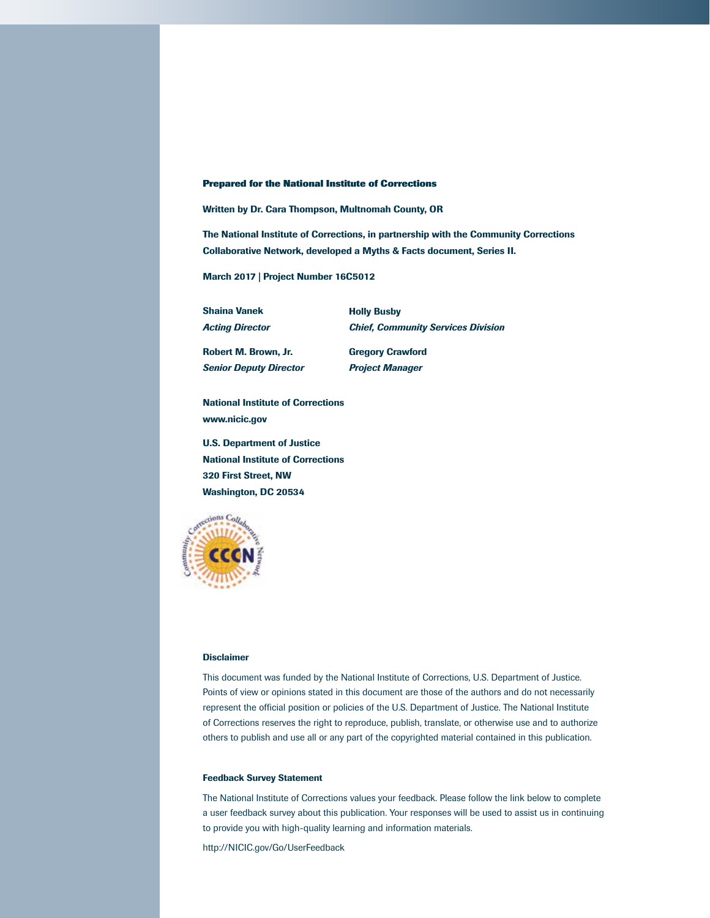#### **Prepared for the National Institute of Corrections**

Written by Dr. Cara Thompson, Multnomah County, OR

The National Institute of Corrections, in partnership with the Community Corrections Collaborative Network, developed a Myths & Facts document, Series II.

March 2017 | Project Number 16C5012

Shaina Vanek *Acting Director* Holly Busby *Chief, Community Services Division*

Robert M. Brown, Jr. *Senior Deputy Director* Gregory Crawford *Project Manager*

National Institute of Corrections www.nicic.gov

U.S. Department of Justice National Institute of Corrections 320 First Street, NW Washington, DC 20534



#### **Disclaimer**

This document was funded by the National Institute of Corrections, U.S. Department of Justice. Points of view or opinions stated in this document are those of the authors and do not necessarily represent the official position or policies of the U.S. Department of Justice. The National Institute of Corrections reserves the right to reproduce, publish, translate, or otherwise use and to authorize others to publish and use all or any part of the copyrighted material contained in this publication.

#### Feedback Survey Statement

The National Institute of Corrections values your feedback. Please follow the link below to complete a user feedback survey about this publication. Your responses will be used to assist us in continuing to provide you with high-quality learning and information materials.

http://NICIC.gov/Go/UserFeedback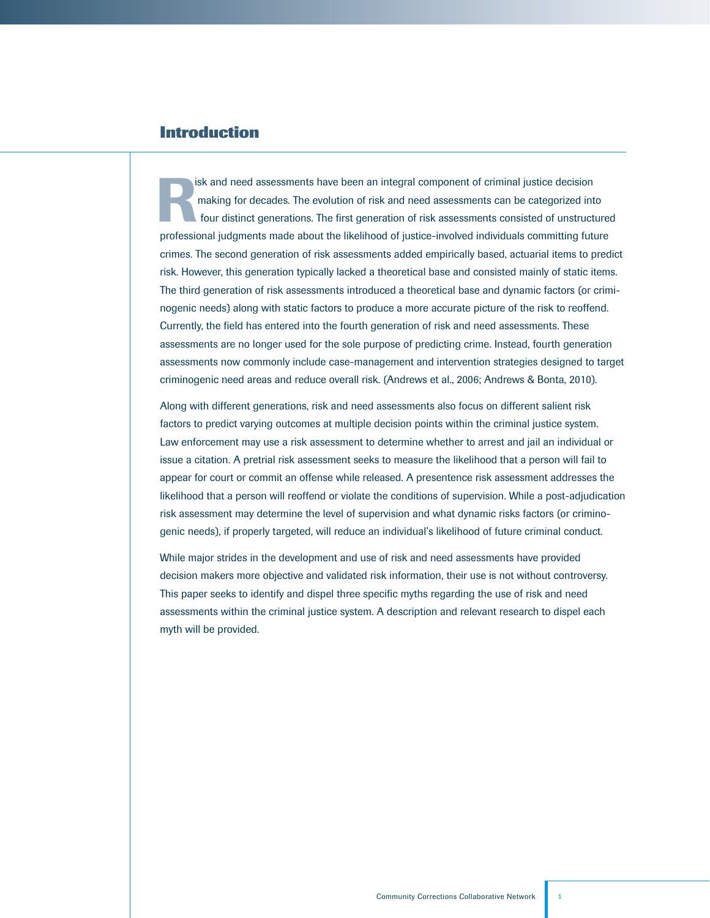# **Introduction**

isk and need assessments have been an integral component of criminal justice decision<br>making for decades. The evolution of risk and need assessments can be categorized in<br>four distinct generations. The first generation of making for decades. The evolution of risk and need assessments can be categorized into four distinct generations. The first generation of risk assessments consisted of unstructured professional judgments made about the likelihood of justice-involved individuals committing future crimes. The second generation of risk assessments added empirically based, actuarial items to predict risk. However, this generation typically lacked a theoretical base and consisted mainly of static items. The third generation of risk assessments introduced a theoretical base and dynamic factors (or criminogenic needs) along with static factors to produce a more accurate picture of the risk to reoffend. Currently, the field has entered into the fourth generation of risk and need assessments. These assessments are no longer used for the sole purpose of predicting crime. Instead, fourth generation assessments now commonly include case-management and intervention strategies designed to target criminogenic need areas and reduce overall risk. (Andrews et al., 2006; Andrews & Bonta, 2010).

Along with different generations, risk and need assessments also focus on different salient risk factors to predict varying outcomes at multiple decision points within the criminal justice system. Law enforcement may use a risk assessment to determine whether to arrest and jail an individual or issue a citation. A pretrial risk assessment seeks to measure the likelihood that a person will fail to appear for court or commit an offense while released. A presentence risk assessment addresses the likelihood that a person will reoffend or violate the conditions of supervision. While a post-adjudication risk assessment may determine the level of supervision and what dynamic risks factors (or criminogenic needs), if properly targeted, will reduce an individual's likelihood of future criminal conduct.

While major strides in the development and use of risk and need assessments have provided decision makers more objective and validated risk information, their use is not without controversy. This paper seeks to identify and dispel three specific myths regarding the use of risk and need assessments within the criminal justice system. A description and relevant research to dispel each myth will be provided.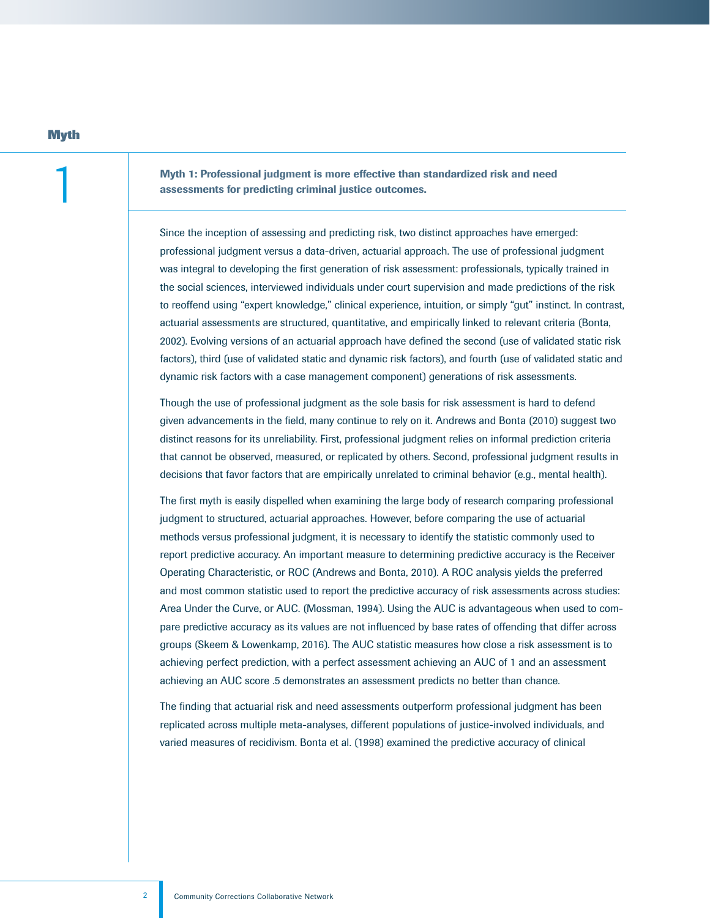Myth 1: Professional judgment is more effective than standardized risk and need assessments for predicting criminal justice outcomes.

Since the inception of assessing and predicting risk, two distinct approaches have emerged: professional judgment versus a data-driven, actuarial approach. The use of professional judgment was integral to developing the first generation of risk assessment: professionals, typically trained in the social sciences, interviewed individuals under court supervision and made predictions of the risk to reoffend using "expert knowledge," clinical experience, intuition, or simply "gut" instinct. In contrast, actuarial assessments are structured, quantitative, and empirically linked to relevant criteria (Bonta, 2002). Evolving versions of an actuarial approach have defined the second (use of validated static risk factors), third (use of validated static and dynamic risk factors), and fourth (use of validated static and dynamic risk factors with a case management component) generations of risk assessments.

Though the use of professional judgment as the sole basis for risk assessment is hard to defend given advancements in the field, many continue to rely on it. Andrews and Bonta (2010) suggest two distinct reasons for its unreliability. First, professional judgment relies on informal prediction criteria that cannot be observed, measured, or replicated by others. Second, professional judgment results in decisions that favor factors that are empirically unrelated to criminal behavior (e.g., mental health).

The first myth is easily dispelled when examining the large body of research comparing professional judgment to structured, actuarial approaches. However, before comparing the use of actuarial methods versus professional judgment, it is necessary to identify the statistic commonly used to report predictive accuracy. An important measure to determining predictive accuracy is the Receiver Operating Characteristic, or ROC (Andrews and Bonta, 2010). A ROC analysis yields the preferred and most common statistic used to report the predictive accuracy of risk assessments across studies: Area Under the Curve, or AUC. (Mossman, 1994). Using the AUC is advantageous when used to compare predictive accuracy as its values are not influenced by base rates of offending that differ across groups (Skeem & Lowenkamp, 2016). The AUC statistic measures how close a risk assessment is to achieving perfect prediction, with a perfect assessment achieving an AUC of 1 and an assessment achieving an AUC score .5 demonstrates an assessment predicts no better than chance.

The finding that actuarial risk and need assessments outperform professional judgment has been replicated across multiple meta-analyses, different populations of justice-involved individuals, and varied measures of recidivism. Bonta et al. (1998) examined the predictive accuracy of clinical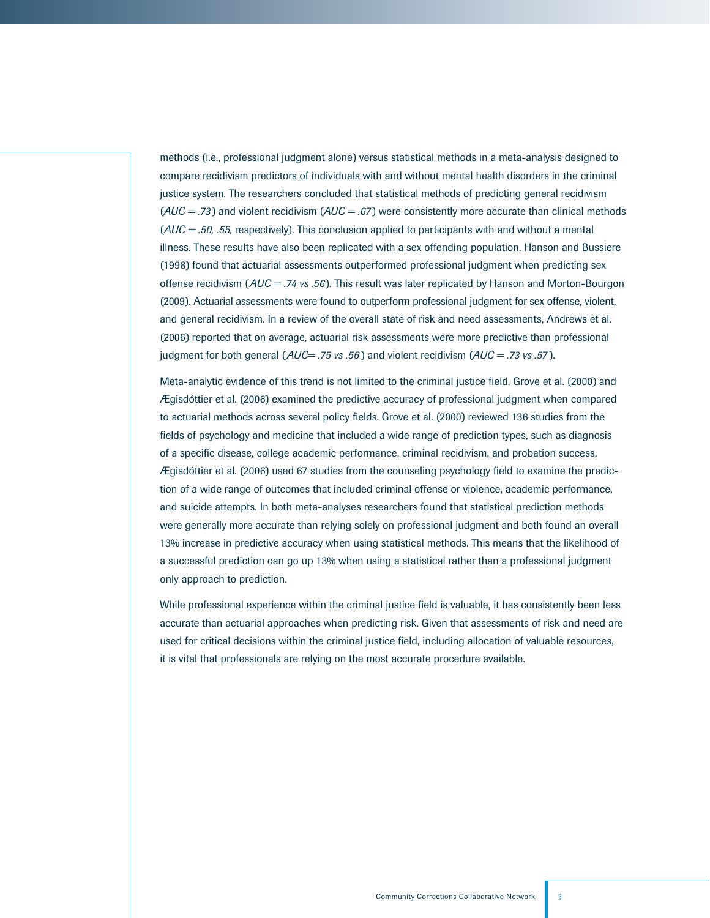methods (i.e., professional judgment alone) versus statistical methods in a meta-analysis designed to compare recidivism predictors of individuals with and without mental health disorders in the criminal justice system. The researchers concluded that statistical methods of predicting general recidivism (*AUC = .73* ) and violent recidivism (*AUC = .67* ) were consistently more accurate than clinical methods (*AUC = .50, .55,* respectively). This conclusion applied to participants with and without a mental illness. These results have also been replicated with a sex offending population. Hanson and Bussiere (1998) found that actuarial assessments outperformed professional judgment when predicting sex offense recidivism (*AUC = .74 vs .56*). This result was later replicated by Hanson and Morton-Bourgon (2009). Actuarial assessments were found to outperform professional judgment for sex offense, violent, and general recidivism. In a review of the overall state of risk and need assessments, Andrews et al. (2006) reported that on average, actuarial risk assessments were more predictive than professional judgment for both general (*AUC= .75 vs .56* ) and violent recidivism (*AUC = .73 vs .57* ).

Meta-analytic evidence of this trend is not limited to the criminal justice field. Grove et al. (2000) and Ægisdóttier et al. (2006) examined the predictive accuracy of professional judgment when compared to actuarial methods across several policy fields. Grove et al. (2000) reviewed 136 studies from the fields of psychology and medicine that included a wide range of prediction types, such as diagnosis of a specific disease, college academic performance, criminal recidivism, and probation success. Ægisdóttier et al. (2006) used 67 studies from the counseling psychology field to examine the prediction of a wide range of outcomes that included criminal offense or violence, academic performance, and suicide attempts. In both meta-analyses researchers found that statistical prediction methods were generally more accurate than relying solely on professional judgment and both found an overall 13% increase in predictive accuracy when using statistical methods. This means that the likelihood of a successful prediction can go up 13% when using a statistical rather than a professional judgment only approach to prediction.

While professional experience within the criminal justice field is valuable, it has consistently been less accurate than actuarial approaches when predicting risk. Given that assessments of risk and need are used for critical decisions within the criminal justice field, including allocation of valuable resources, it is vital that professionals are relying on the most accurate procedure available.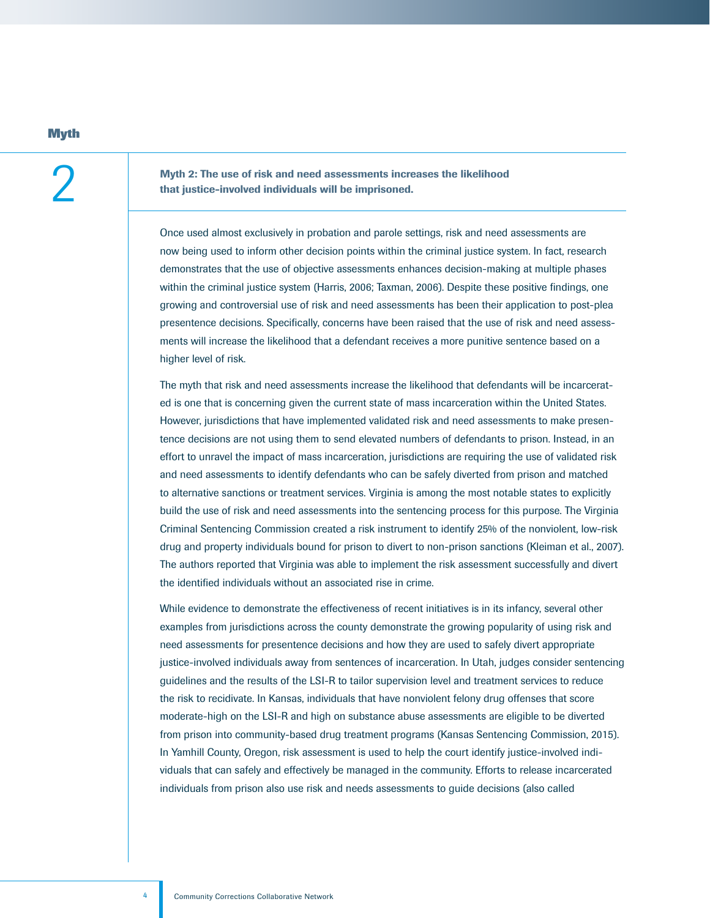### **Myth**

2 Myth 2: The use of risk and need assessments increases the likelihood that justice-involved individuals will be imprisoned.

Once used almost exclusively in probation and parole settings, risk and need assessments are now being used to inform other decision points within the criminal justice system. In fact, research demonstrates that the use of objective assessments enhances decision-making at multiple phases within the criminal justice system (Harris, 2006; Taxman, 2006). Despite these positive findings, one growing and controversial use of risk and need assessments has been their application to post-plea presentence decisions. Specifically, concerns have been raised that the use of risk and need assessments will increase the likelihood that a defendant receives a more punitive sentence based on a higher level of risk.

The myth that risk and need assessments increase the likelihood that defendants will be incarcerated is one that is concerning given the current state of mass incarceration within the United States. However, jurisdictions that have implemented validated risk and need assessments to make presentence decisions are not using them to send elevated numbers of defendants to prison. Instead, in an effort to unravel the impact of mass incarceration, jurisdictions are requiring the use of validated risk and need assessments to identify defendants who can be safely diverted from prison and matched to alternative sanctions or treatment services. Virginia is among the most notable states to explicitly build the use of risk and need assessments into the sentencing process for this purpose. The Virginia Criminal Sentencing Commission created a risk instrument to identify 25% of the nonviolent, low-risk drug and property individuals bound for prison to divert to non-prison sanctions (Kleiman et al., 2007). The authors reported that Virginia was able to implement the risk assessment successfully and divert the identified individuals without an associated rise in crime.

While evidence to demonstrate the effectiveness of recent initiatives is in its infancy, several other examples from jurisdictions across the county demonstrate the growing popularity of using risk and need assessments for presentence decisions and how they are used to safely divert appropriate justice-involved individuals away from sentences of incarceration. In Utah, judges consider sentencing guidelines and the results of the LSI-R to tailor supervision level and treatment services to reduce the risk to recidivate. In Kansas, individuals that have nonviolent felony drug offenses that score moderate-high on the LSI-R and high on substance abuse assessments are eligible to be diverted from prison into community-based drug treatment programs (Kansas Sentencing Commission, 2015). In Yamhill County, Oregon, risk assessment is used to help the court identify justice-involved individuals that can safely and effectively be managed in the community. Efforts to release incarcerated individuals from prison also use risk and needs assessments to guide decisions (also called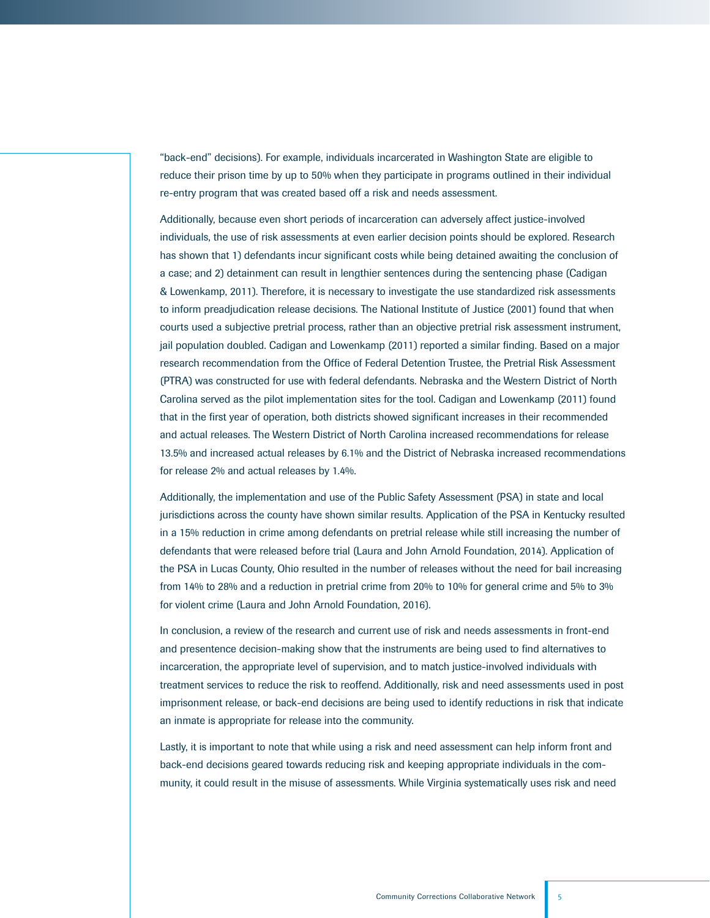"back-end" decisions). For example, individuals incarcerated in Washington State are eligible to reduce their prison time by up to 50% when they participate in programs outlined in their individual re-entry program that was created based off a risk and needs assessment.

Additionally, because even short periods of incarceration can adversely affect justice-involved individuals, the use of risk assessments at even earlier decision points should be explored. Research has shown that 1) defendants incur significant costs while being detained awaiting the conclusion of a case; and 2) detainment can result in lengthier sentences during the sentencing phase (Cadigan & Lowenkamp, 2011). Therefore, it is necessary to investigate the use standardized risk assessments to inform preadjudication release decisions. The National Institute of Justice (2001) found that when courts used a subjective pretrial process, rather than an objective pretrial risk assessment instrument, jail population doubled. Cadigan and Lowenkamp (2011) reported a similar finding. Based on a major research recommendation from the Office of Federal Detention Trustee, the Pretrial Risk Assessment (PTRA) was constructed for use with federal defendants. Nebraska and the Western District of North Carolina served as the pilot implementation sites for the tool. Cadigan and Lowenkamp (2011) found that in the first year of operation, both districts showed significant increases in their recommended and actual releases. The Western District of North Carolina increased recommendations for release 13.5% and increased actual releases by 6.1% and the District of Nebraska increased recommendations for release 2% and actual releases by 1.4%.

Additionally, the implementation and use of the Public Safety Assessment (PSA) in state and local jurisdictions across the county have shown similar results. Application of the PSA in Kentucky resulted in a 15% reduction in crime among defendants on pretrial release while still increasing the number of defendants that were released before trial (Laura and John Arnold Foundation, 2014). Application of the PSA in Lucas County, Ohio resulted in the number of releases without the need for bail increasing from 14% to 28% and a reduction in pretrial crime from 20% to 10% for general crime and 5% to 3% for violent crime (Laura and John Arnold Foundation, 2016).

In conclusion, a review of the research and current use of risk and needs assessments in front-end and presentence decision-making show that the instruments are being used to find alternatives to incarceration, the appropriate level of supervision, and to match justice-involved individuals with treatment services to reduce the risk to reoffend. Additionally, risk and need assessments used in post imprisonment release, or back-end decisions are being used to identify reductions in risk that indicate an inmate is appropriate for release into the community.

Lastly, it is important to note that while using a risk and need assessment can help inform front and back-end decisions geared towards reducing risk and keeping appropriate individuals in the community, it could result in the misuse of assessments. While Virginia systematically uses risk and need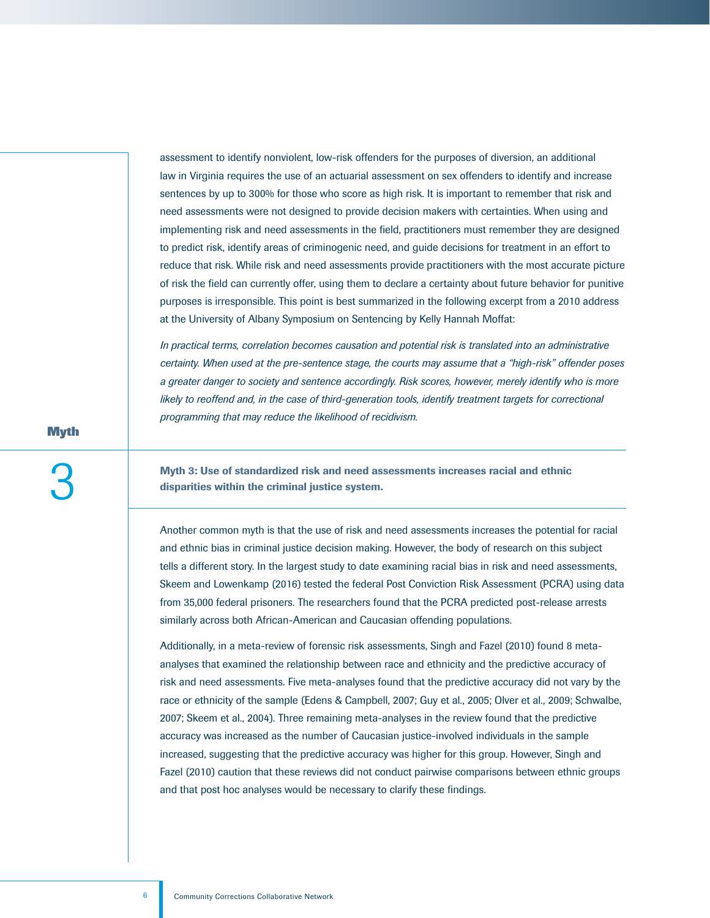assessment to identify nonviolent, low-risk offenders for the purposes of diversion, an additional law in Virginia requires the use of an actuarial assessment on sex offenders to identify and increase sentences by up to 300% for those who score as high risk. It is important to remember that risk and need assessments were not designed to provide decision makers with certainties. When using and implementing risk and need assessments in the field, practitioners must remember they are designed to predict risk, identify areas of criminogenic need, and guide decisions for treatment in an effort to reduce that risk. While risk and need assessments provide practitioners with the most accurate picture of risk the field can currently offer, using them to declare a certainty about future behavior for punitive purposes is irresponsible. This point is best summarized in the following excerpt from a 2010 address at the University of Albany Symposium on Sentencing by Kelly Hannah Moffat:

*In practical terms, correlation becomes causation and potential risk is translated into an administrative certainty. When used at the pre-sentence stage, the courts may assume that a "high-risk" offender poses a greater danger to society and sentence accordingly. Risk scores, however, merely identify who is more*  likely to reoffend and, in the case of third-generation tools, identify treatment targets for correctional *programming that may reduce the likelihood of recidivism.* 

**Myth**

Myth 3: Use of standardized risk and need assessments increases racial and ethnic disparities within the criminal justice system.

Another common myth is that the use of risk and need assessments increases the potential for racial and ethnic bias in criminal justice decision making. However, the body of research on this subject tells a different story. In the largest study to date examining racial bias in risk and need assessments, Skeem and Lowenkamp (2016) tested the federal Post Conviction Risk Assessment (PCRA) using data from 35,000 federal prisoners. The researchers found that the PCRA predicted post-release arrests similarly across both African-American and Caucasian offending populations.

Additionally, in a meta-review of forensic risk assessments, Singh and Fazel (2010) found 8 metaanalyses that examined the relationship between race and ethnicity and the predictive accuracy of risk and need assessments. Five meta-analyses found that the predictive accuracy did not vary by the race or ethnicity of the sample (Edens & Campbell, 2007; Guy et al., 2005; Olver et al., 2009; Schwalbe, 2007; Skeem et al., 2004). Three remaining meta-analyses in the review found that the predictive accuracy was increased as the number of Caucasian justice-involved individuals in the sample increased, suggesting that the predictive accuracy was higher for this group. However, Singh and Fazel (2010) caution that these reviews did not conduct pairwise comparisons between ethnic groups and that post hoc analyses would be necessary to clarify these findings.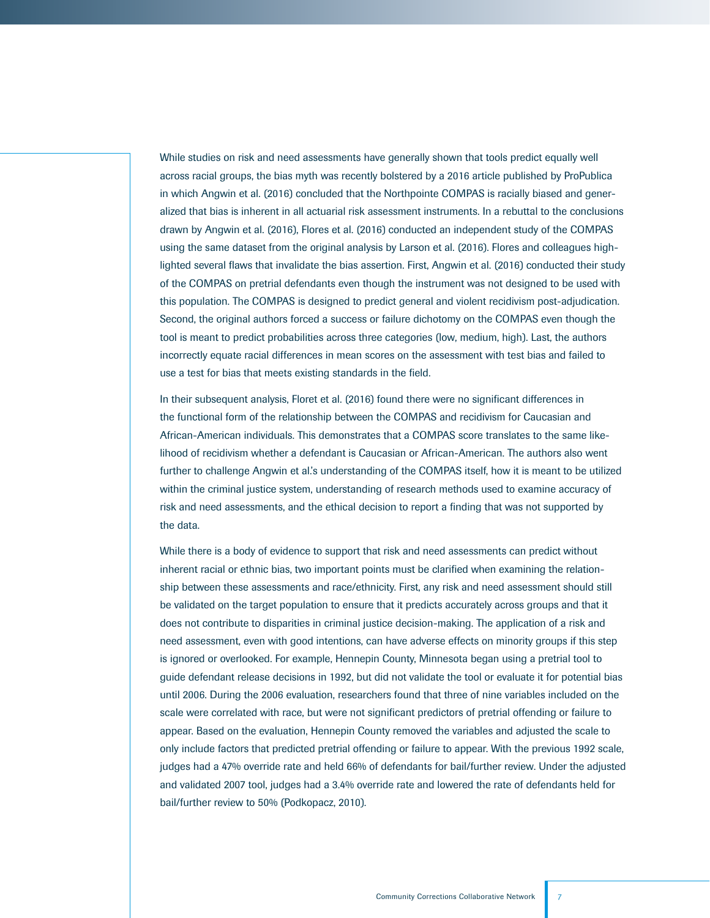While studies on risk and need assessments have generally shown that tools predict equally well across racial groups, the bias myth was recently bolstered by a 2016 article published by ProPublica in which Angwin et al. (2016) concluded that the Northpointe COMPAS is racially biased and generalized that bias is inherent in all actuarial risk assessment instruments. In a rebuttal to the conclusions drawn by Angwin et al. (2016), Flores et al. (2016) conducted an independent study of the COMPAS using the same dataset from the original analysis by Larson et al. (2016). Flores and colleagues highlighted several flaws that invalidate the bias assertion. First, Angwin et al. (2016) conducted their study of the COMPAS on pretrial defendants even though the instrument was not designed to be used with this population. The COMPAS is designed to predict general and violent recidivism post-adjudication. Second, the original authors forced a success or failure dichotomy on the COMPAS even though the tool is meant to predict probabilities across three categories (low, medium, high). Last, the authors incorrectly equate racial differences in mean scores on the assessment with test bias and failed to use a test for bias that meets existing standards in the field.

In their subsequent analysis, Floret et al. (2016) found there were no significant differences in the functional form of the relationship between the COMPAS and recidivism for Caucasian and African-American individuals. This demonstrates that a COMPAS score translates to the same likelihood of recidivism whether a defendant is Caucasian or African-American. The authors also went further to challenge Angwin et al.'s understanding of the COMPAS itself, how it is meant to be utilized within the criminal justice system, understanding of research methods used to examine accuracy of risk and need assessments, and the ethical decision to report a finding that was not supported by the data.

While there is a body of evidence to support that risk and need assessments can predict without inherent racial or ethnic bias, two important points must be clarified when examining the relationship between these assessments and race/ethnicity. First, any risk and need assessment should still be validated on the target population to ensure that it predicts accurately across groups and that it does not contribute to disparities in criminal justice decision-making. The application of a risk and need assessment, even with good intentions, can have adverse effects on minority groups if this step is ignored or overlooked. For example, Hennepin County, Minnesota began using a pretrial tool to guide defendant release decisions in 1992, but did not validate the tool or evaluate it for potential bias until 2006. During the 2006 evaluation, researchers found that three of nine variables included on the scale were correlated with race, but were not significant predictors of pretrial offending or failure to appear. Based on the evaluation, Hennepin County removed the variables and adjusted the scale to only include factors that predicted pretrial offending or failure to appear. With the previous 1992 scale, judges had a 47% override rate and held 66% of defendants for bail/further review. Under the adjusted and validated 2007 tool, judges had a 3.4% override rate and lowered the rate of defendants held for bail/further review to 50% (Podkopacz, 2010).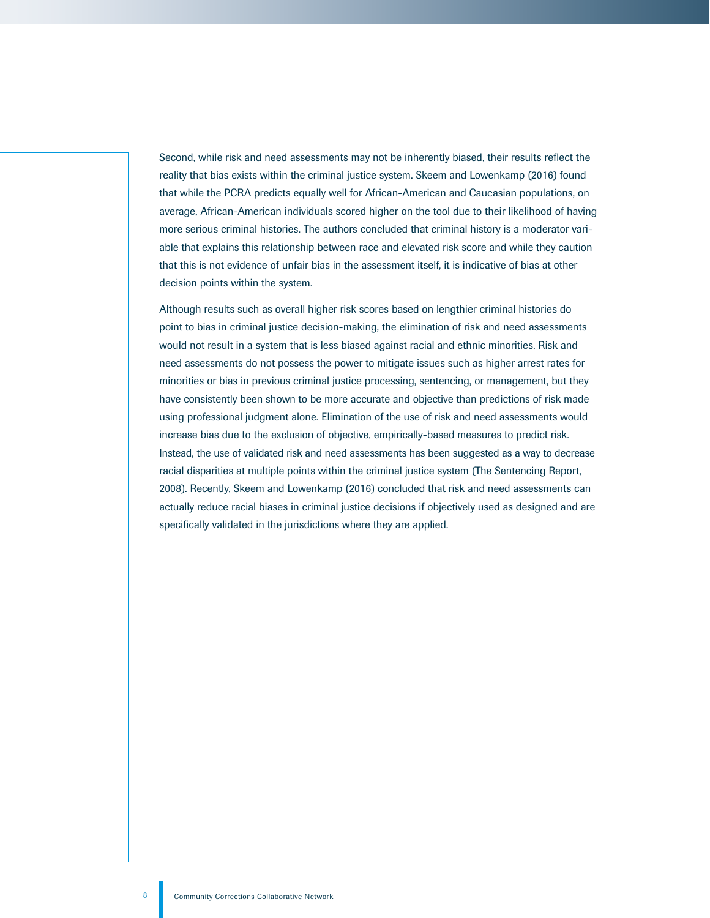Second, while risk and need assessments may not be inherently biased, their results reflect the reality that bias exists within the criminal justice system. Skeem and Lowenkamp (2016) found that while the PCRA predicts equally well for African-American and Caucasian populations, on average, African-American individuals scored higher on the tool due to their likelihood of having more serious criminal histories. The authors concluded that criminal history is a moderator variable that explains this relationship between race and elevated risk score and while they caution that this is not evidence of unfair bias in the assessment itself, it is indicative of bias at other decision points within the system.

Although results such as overall higher risk scores based on lengthier criminal histories do point to bias in criminal justice decision-making, the elimination of risk and need assessments would not result in a system that is less biased against racial and ethnic minorities. Risk and need assessments do not possess the power to mitigate issues such as higher arrest rates for minorities or bias in previous criminal justice processing, sentencing, or management, but they have consistently been shown to be more accurate and objective than predictions of risk made using professional judgment alone. Elimination of the use of risk and need assessments would increase bias due to the exclusion of objective, empirically-based measures to predict risk. Instead, the use of validated risk and need assessments has been suggested as a way to decrease racial disparities at multiple points within the criminal justice system (The Sentencing Report, 2008). Recently, Skeem and Lowenkamp (2016) concluded that risk and need assessments can actually reduce racial biases in criminal justice decisions if objectively used as designed and are specifically validated in the jurisdictions where they are applied.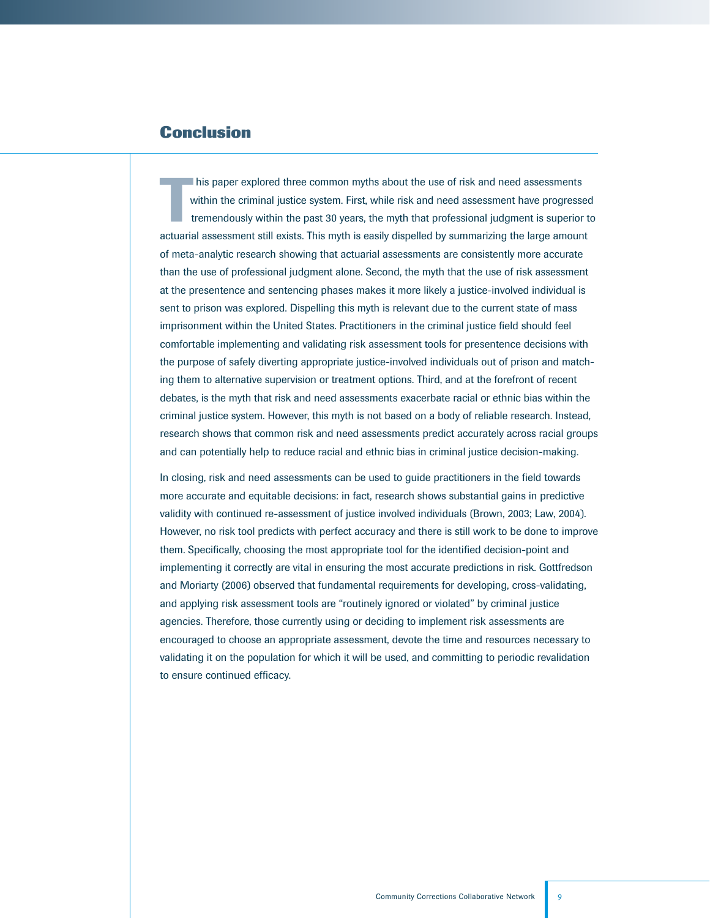# **Conclusion**

 $\prod_{t}$ his paper explored three common myths about the use of risk and need assessments within the criminal justice system. First, while risk and need assessment have progressed tremendously within the past 30 years, the myth that professional judgment is superior to actuarial assessment still exists. This myth is easily dispelled by summarizing the large amount of meta-analytic research showing that actuarial assessments are consistently more accurate than the use of professional judgment alone. Second, the myth that the use of risk assessment at the presentence and sentencing phases makes it more likely a justice-involved individual is sent to prison was explored. Dispelling this myth is relevant due to the current state of mass imprisonment within the United States. Practitioners in the criminal justice field should feel comfortable implementing and validating risk assessment tools for presentence decisions with the purpose of safely diverting appropriate justice-involved individuals out of prison and matching them to alternative supervision or treatment options. Third, and at the forefront of recent debates, is the myth that risk and need assessments exacerbate racial or ethnic bias within the criminal justice system. However, this myth is not based on a body of reliable research. Instead, research shows that common risk and need assessments predict accurately across racial groups and can potentially help to reduce racial and ethnic bias in criminal justice decision-making.

In closing, risk and need assessments can be used to guide practitioners in the field towards more accurate and equitable decisions: in fact, research shows substantial gains in predictive validity with continued re-assessment of justice involved individuals (Brown, 2003; Law, 2004). However, no risk tool predicts with perfect accuracy and there is still work to be done to improve them. Specifically, choosing the most appropriate tool for the identified decision-point and implementing it correctly are vital in ensuring the most accurate predictions in risk. Gottfredson and Moriarty (2006) observed that fundamental requirements for developing, cross-validating, and applying risk assessment tools are "routinely ignored or violated" by criminal justice agencies. Therefore, those currently using or deciding to implement risk assessments are encouraged to choose an appropriate assessment, devote the time and resources necessary to validating it on the population for which it will be used, and committing to periodic revalidation to ensure continued efficacy.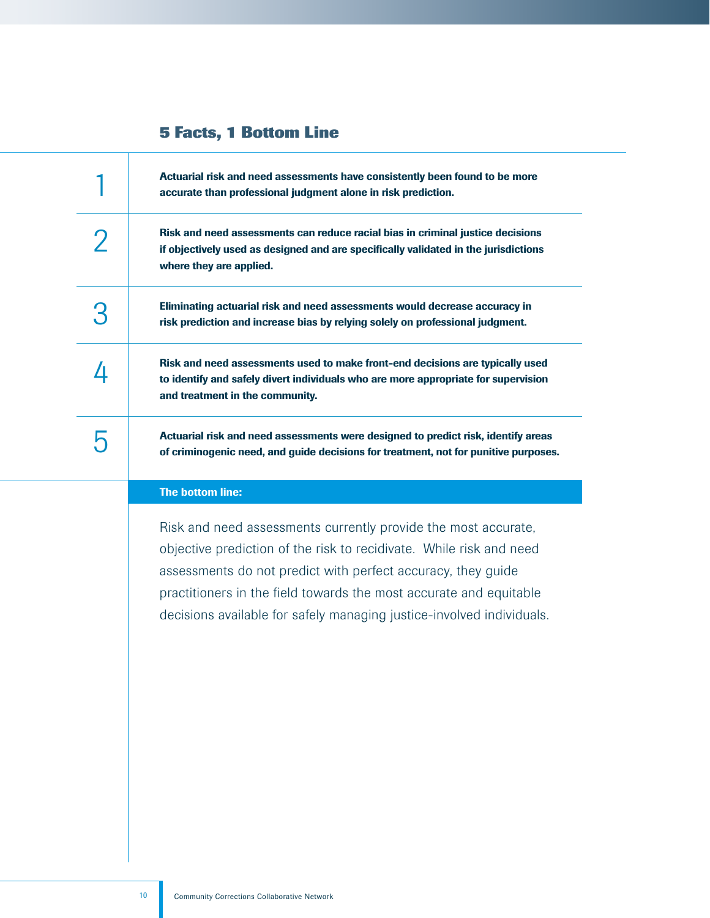# **5 Facts, 1 Bottom Line**

| Actuarial risk and need assessments have consistently been found to be more<br>accurate than professional judgment alone in risk prediction.                                                           |
|--------------------------------------------------------------------------------------------------------------------------------------------------------------------------------------------------------|
| Risk and need assessments can reduce racial bias in criminal justice decisions<br>if objectively used as designed and are specifically validated in the jurisdictions<br>where they are applied.       |
| Eliminating actuarial risk and need assessments would decrease accuracy in<br>risk prediction and increase bias by relying solely on professional judgment.                                            |
| Risk and need assessments used to make front-end decisions are typically used<br>to identify and safely divert individuals who are more appropriate for supervision<br>and treatment in the community. |
| Actuarial risk and need assessments were designed to predict risk, identify areas<br>of criminogenic need, and guide decisions for treatment, not for punitive purposes.                               |
| The bottom line:                                                                                                                                                                                       |
| Risk and need assessments currently provide the most accurate,<br>objective prediction of the risk to recidivate. While risk and need                                                                  |
|                                                                                                                                                                                                        |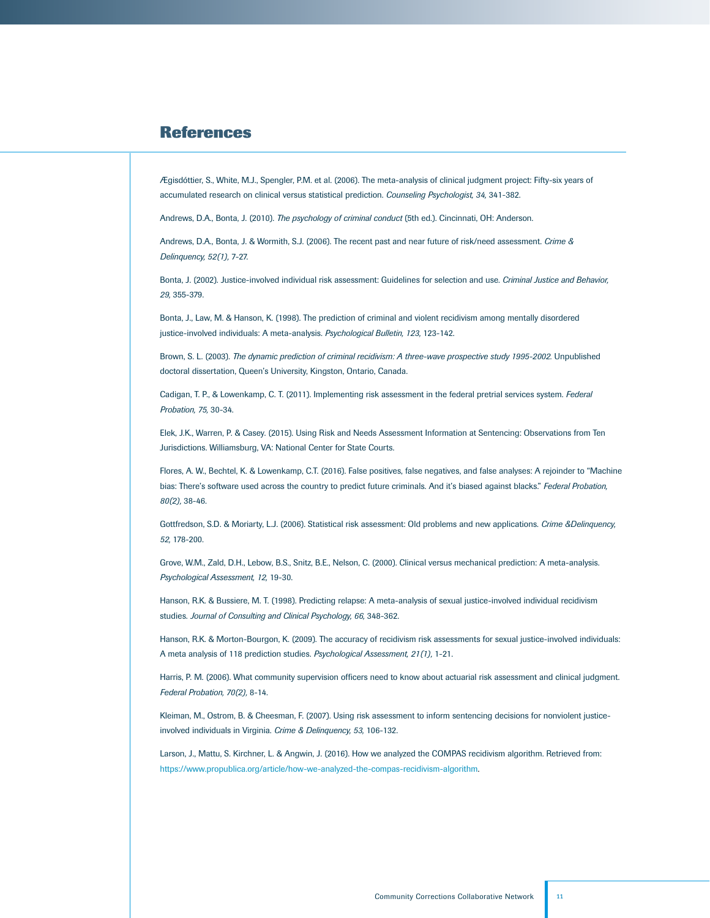## **References**

Ægisdóttier, S., White, M.J., Spengler, P.M. et al. (2006). The meta-analysis of clinical judgment project: Fifty-six years of accumulated research on clinical versus statistical prediction. *Counseling Psychologist, 34,* 341-382.

Andrews, D.A., Bonta, J. (2010). *The psychology of criminal conduct* (5th ed.). Cincinnati, OH: Anderson.

Andrews, D.A., Bonta, J. & Wormith, S.J. (2006). The recent past and near future of risk/need assessment. *Crime & Delinquency, 52(1),* 7-27.

Bonta, J. (2002). Justice-involved individual risk assessment: Guidelines for selection and use. *Criminal Justice and Behavior, 29,* 355-379.

Bonta, J., Law, M. & Hanson, K. (1998). The prediction of criminal and violent recidivism among mentally disordered justice-involved individuals: A meta-analysis. *Psychological Bulletin, 123,* 123-142.

Brown, S. L. (2003). *The dynamic prediction of criminal recidivism: A three-wave prospective study 1995-2002.* Unpublished doctoral dissertation, Queen's University, Kingston, Ontario, Canada.

Cadigan, T. P., & Lowenkamp, C. T. (2011). Implementing risk assessment in the federal pretrial services system. *Federal Probation, 75,* 30-34.

Elek, J.K., Warren, P. & Casey. (2015). Using Risk and Needs Assessment Information at Sentencing: Observations from Ten Jurisdictions. Williamsburg, VA: National Center for State Courts.

Flores, A. W., Bechtel, K. & Lowenkamp, C.T. (2016). False positives, false negatives, and false analyses: A rejoinder to "Machine bias: There's software used across the country to predict future criminals. And it's biased against blacks." *Federal Probation, 80(2),* 38-46.

Gottfredson, S.D. & Moriarty, L.J. (2006). Statistical risk assessment: Old problems and new applications. *Crime &Delinquency, 52,* 178-200.

Grove, W.M., Zald, D.H., Lebow, B.S., Snitz, B.E., Nelson, C. (2000). Clinical versus mechanical prediction: A meta-analysis. *Psychological Assessment, 12,* 19-30.

Hanson, R.K. & Bussiere, M. T. (1998). Predicting relapse: A meta-analysis of sexual justice-involved individual recidivism studies. Journal of Consulting and Clinical Psychology, 66, 348-362.

Hanson, R.K. & Morton-Bourgon, K. (2009). The accuracy of recidivism risk assessments for sexual justice-involved individuals: A meta analysis of 118 prediction studies. *Psychological Assessment, 21(1),* 1-21.

Harris, P. M. (2006). What community supervision officers need to know about actuarial risk assessment and clinical judgment. *Federal Probation, 70(2),* 8-14.

Kleiman, M., Ostrom, B. & Cheesman, F. (2007). Using risk assessment to inform sentencing decisions for nonviolent justiceinvolved individuals in Virginia. *Crime & Delinquency, 53,* 106-132.

Larson, J., Mattu, S. Kirchner, L. & Angwin, J. (2016). How we analyzed the COMPAS recidivism algorithm. Retrieved from: <https://www.propublica.org/article/how-we-analyzed-the-compas-recidivism-algorithm>.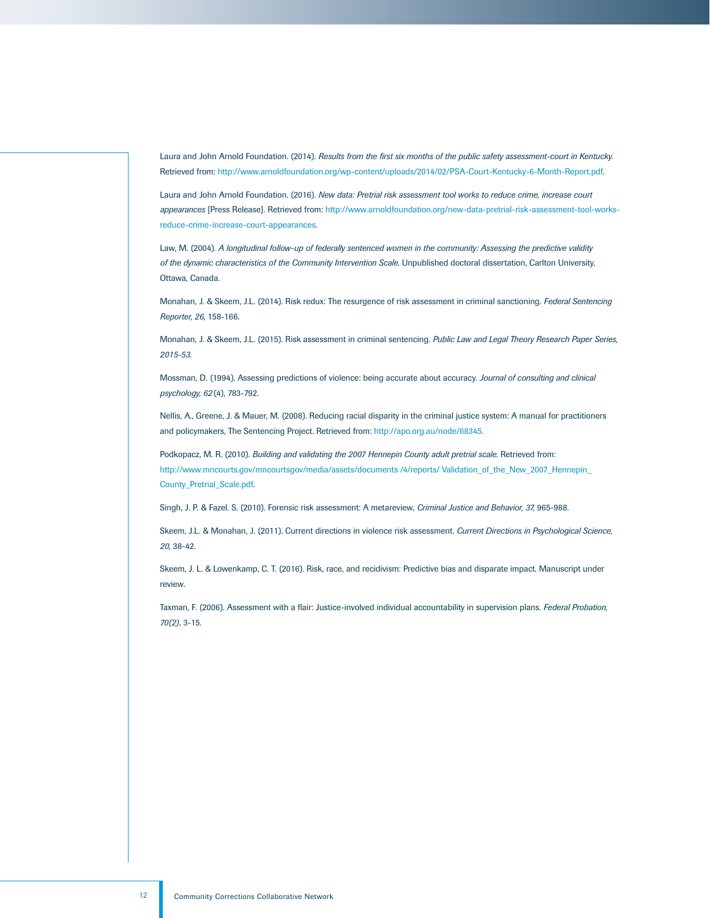Laura and John Arnold Foundation. (2014). *Results from the first six months of the public safety assessment-court in Kentucky.*  Retrieved from: [http://www.arnoldfoundation.org/wp-content/uploads/2014/02/PSA-Court-Kentucky-6-Month-Report.pdf.](http://www.arnoldfoundation.org/wp-content/uploads/2014/02/PSA-Court-Kentucky-6-Month-Report.pdf)

Laura and John Arnold Foundation. (2016). *New data: Pretrial risk assessment tool works to reduce crime, increase court appearances* [Press Release]. Retrieved from: [http://www.arnoldfoundation.org/new-data-pretrial-risk-assessment-tool-works](http://www.arnoldfoundation.org/new-data-pretrial-risk-assessment-tool-works-reduce-crime-increase-court-appearances)[reduce-crime-increase-court-appearances](http://www.arnoldfoundation.org/new-data-pretrial-risk-assessment-tool-works-reduce-crime-increase-court-appearances).

Law, M. (2004). *A longitudinal follow-up of federally sentenced women in the community: Assessing the predictive validity of the dynamic characteristics of the Community Intervention Scale.* Unpublished doctoral dissertation, Carlton University, Ottawa, Canada.

Monahan, J. & Skeem, J.L. (2014). Risk redux: The resurgence of risk assessment in criminal sanctioning. *Federal Sentencing Reporter, 26,* 158-166.

Monahan, J. & Skeem, J.L. (2015). Risk assessment in criminal sentencing. *Public Law and Legal Theory Research Paper Series, 2015-53.* 

Mossman, D. (1994). Assessing predictions of violence: being accurate about accuracy. *Journal of consulting and clinical psychology, 62* (4), 783-792.

Nellis, A., Greene, J. & Mauer, M. (2008). Reducing racial disparity in the criminal justice system: A manual for practitioners and policymakers, The Sentencing Project. Retrieved from: [http://apo.org.au/node/68345.](http://apo.org.au/node/68345)

Podkopacz, M. R. (2010). *Building and validating the 2007 Hennepin County adult pretrial scale.* Retrieved from: [http://www.mncourts.gov/mncourtsgov/media/assets/documents /4/reports/ Validation\\_of\\_the\\_New\\_2007\\_Hennepin\\_](http://www.mncourts.gov/mncourtsgov/media/assets/documents/4/reports/Validation_of_the_New_2007_Hennepin_County_Pretrial_Scale.pdf) [County\\_Pretrial\\_Scale.pdf](http://www.mncourts.gov/mncourtsgov/media/assets/documents/4/reports/Validation_of_the_New_2007_Hennepin_County_Pretrial_Scale.pdf).

Singh, J. P. & Fazel. S. (2010). Forensic risk assessment: A metareview, *Criminal Justice and Behavior, 37,* 965-988.

Skeem, J.L. & Monahan, J. (2011). Current directions in violence risk assessment. *Current Directions in Psychological Science, 20,* 38-42.

Skeem, J. L. & Lowenkamp, C. T. (2016). Risk, race, and recidivism: Predictive bias and disparate impact. Manuscript under review.

Taxman, F. (2006). Assessment with a flair: Justice-involved individual accountability in supervision plans. *Federal Probation, 70(2)*, 3-15.